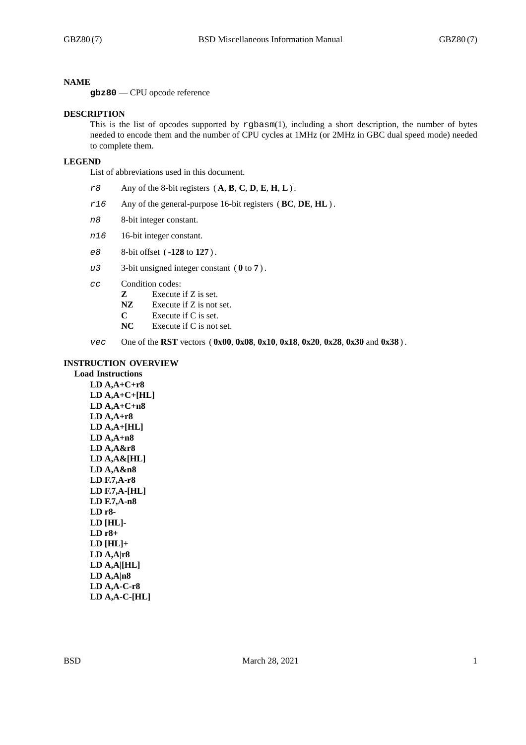#### **NAME**

**gbz80** — CPU opcode reference

#### **DESCRIPTION**

This is the list of opcodes supported by rgbasm(1), including a short description, the number of bytes needed to encode them and the number of CPU cycles at 1MHz (or 2MHz in GBC dual speed mode) needed to complete them.

#### **LEGEND**

List of abbreviations used in this document.

- *r8* Any of the 8-bit registers ( **A**, **B**, **C**, **D**, **E**, **H**, **L**) .
- *r16* Any of the general-purpose 16-bit registers (**BC**, **DE**, **HL**) .
- *n8* 8-bit integer constant.
- *n16* 16-bit integer constant.
- *e8* 8-bit offset ( **-128** to **127** ) .
- *u3* 3-bit unsigned integer constant ( **0** to **7** ) .
- *cc* Condition codes:
	- **Z** Execute if Z is set.
	- **NZ** Execute if Z is not set.
	- **C** Execute if C is set.<br> **NC** Execute if C is not
	- Execute if C is not set.
- *vec* One of the **RST** vectors ( **0x00**, **0x08**, **0x10**, **0x18**, **0x20**, **0x28**, **0x30** and **0x38** ) .

# **INSTRUCTION OVERVIEW**

**Load Instructions LD A,A+C+r8 LD A,A+C+[HL] LD A,A+C+n8 LD A,A+r8 LD A,A+[HL] LD A,A+n8 LD A,A&r8 LD A,A&[HL] LD A,A&n8 LD F.7,A-r8 LD F.7,A-[HL] LD F.7,A-n8 LD r8- LD [HL]- LD r8+ LD [HL]+ LD A,A|r8 LD A,A|[HL] LD A,A|n8 LD A,A-C-r8 LD A,A-C-[HL]**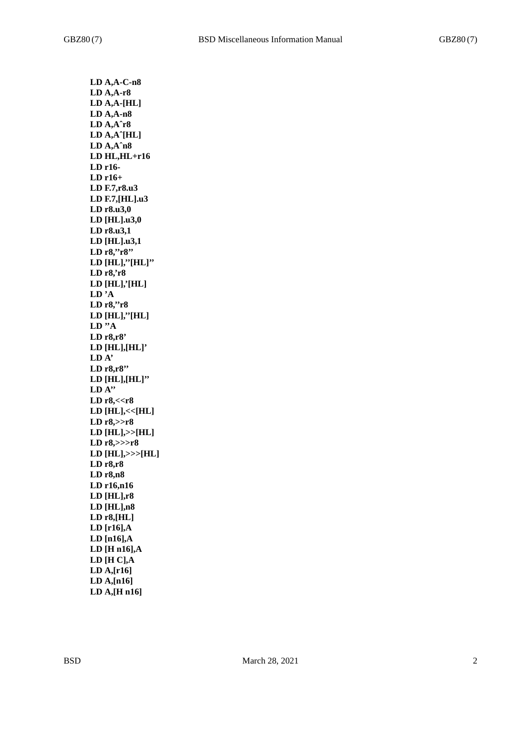**LD A,A-C-n8 LD A,A-r8 LD A,A-[HL] LD A,A-n8 LD A,Aˆr8 LD A,Aˆ[HL] LD A,Aˆn8 LD HL,HL+r16 LD r16- LD r16+ LD F.7,r8.u3 LD F.7,[HL].u3 LD r8.u3,0 LD [HL].u3,0 LD r8.u3,1 LD [HL].u3,1 LD r8,''r8'' LD [HL],''[HL]'' LD r8,'r8 LD [HL],'[HL] LD 'A LD r8,''r8 LD [HL],''[HL] LD ''A LD r8,r8' LD [HL],[HL]' LD A' LD r8,r8'' LD [HL],[HL]'' LD A'' LD r8,<<r8 LD [HL],<<[HL] LD r8,>>r8 LD [HL],>>[HL] LD r8,>>>r8 LD [HL],>>>[HL] LD r8,r8 LD r8,n8 LD r16,n16 LD [HL],r8 LD [HL],n8 LD r8,[HL] LD [r16],A LD [n16],A LD [H n16],A LD [H C],A LD A,[r16] LD A,[n16] LD A,[H n16]**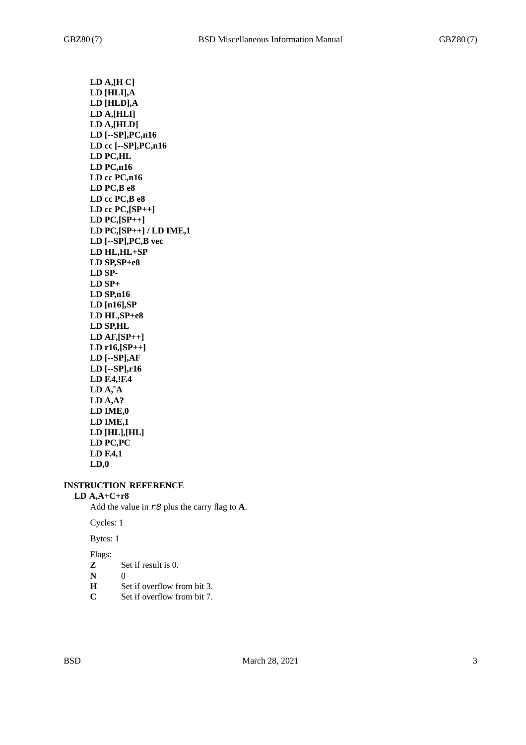**LD A,[H C] LD [HLI],A LD [HLD],A LD A,[HLI] LD A,[HLD] LD [--SP],PC,n16 LD cc [--SP],PC,n16 LD PC,HL LD PC,n16 LD cc PC,n16 LD PC,B e8 LD cc PC,B e8 LD cc PC,[SP++] LD PC,[SP++] LD PC,[SP++] / LD IME,1 LD [--SP],PC,B vec LD HL,HL+SP LD SP,SP+e8 LD SP-LD SP+ LD SP,n16 LD [n16],SP LD HL,SP+e8 LD SP,HL LD AF,[SP++] LD r16,[SP++] LD [--SP],AF LD [--SP],r16 LD F.4,!F.4 LD A,˜A LD A,A? LD IME,0 LD IME,1 LD [HL],[HL] LD PC,PC LD F.4,1 LD,0**

# **INSTRUCTION REFERENCE**

# **LD A,A+C+r8**

Add the value in *r8* plus the carry flag to **A**.

#### Cycles: 1

Bytes: 1

- **Z** Set if result is 0.
- **N** 0
- **H** Set if overflow from bit 3.<br>C Set if overflow from bit 7.
- **C** Set if overflow from bit 7.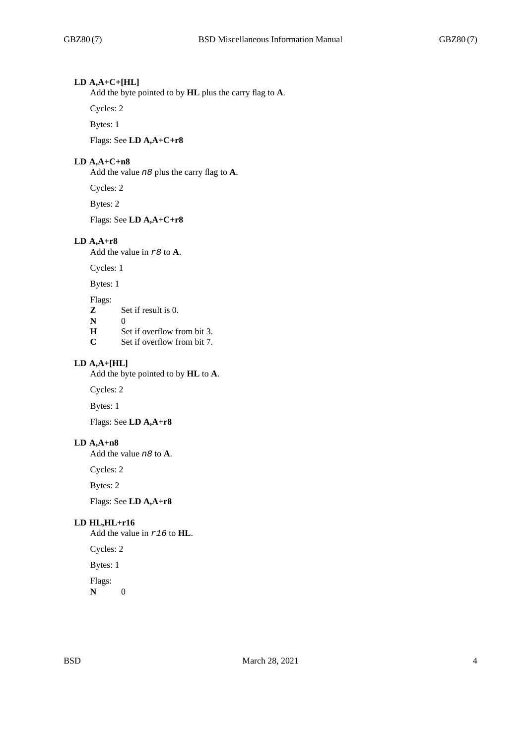# **LD A,A+C+[HL]**

Add the byte pointed to by **HL** plus the carry flag to **A**.

Cycles: 2

Bytes: 1

Flags: See **LD A,A+C+r8**

# **LD A,A+C+n8**

Add the value *n8* plus the carry flag to **A**.

Cycles: 2

Bytes: 2

Flags: See **LD A,A+C+r8**

## **LD A,A+r8**

Add the value in *r8* to **A**.

Cycles: 1

Bytes: 1

Flags:

- **Z** Set if result is 0.
- **N** 0
- **H** Set if overflow from bit 3.
- **C** Set if overflow from bit 7.

# **LD A,A+[HL]**

Add the byte pointed to by **HL** to **A**.

Cycles: 2

Bytes: 1

Flags: See **LD A,A+r8**

# **LD A,A+n8**

Add the value *n8* to **A**.

Cycles: 2

Bytes: 2

Flags: See **LD A,A+r8**

# **LD HL,HL+r16**

Add the value in *r16* to **HL**.

Cycles: 2

Bytes: 1

Flags:

**N** 0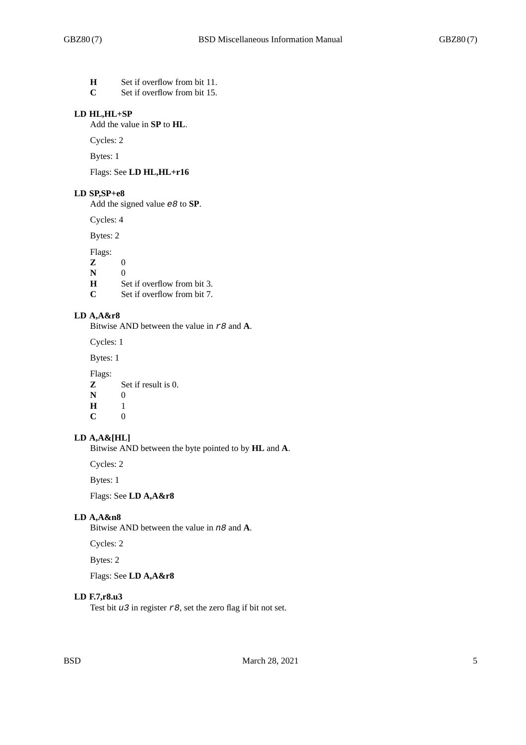- **H** Set if overflow from bit 11.
- **C** Set if overflow from bit 15.

# **LD HL,HL+SP**

Add the value in **SP** to **HL**.

Cycles: 2

Bytes: 1

Flags: See **LD HL,HL+r16**

#### **LD SP,SP+e8**

Add the signed value *e8* to **SP**.

Cycles: 4

Bytes: 2

Flags:

**Z** 0

**N** 0

**H** Set if overflow from bit 3.<br>C Set if overflow from bit 7.

Set if overflow from bit 7.

# **LD A,A&r8**

Bitwise AND between the value in *r8* and **A**.

Cycles: 1

Bytes: 1

Flags:

**Z** Set if result is 0. **N** 0<br>**H** 1

**H** 1<br>**C** 0 **C** 0

# **LD A,A&[HL]**

Bitwise AND between the byte pointed to by **HL** and **A**.

Cycles: 2

Bytes: 1

Flags: See **LD A,A&r8**

# **LD A,A&n8**

Bitwise AND between the value in *n8* and **A**.

Cycles: 2

Bytes: 2

Flags: See **LD A,A&r8**

# **LD F.7,r8.u3**

Test bit *u3* in register *r8*, set the zero flag if bit not set.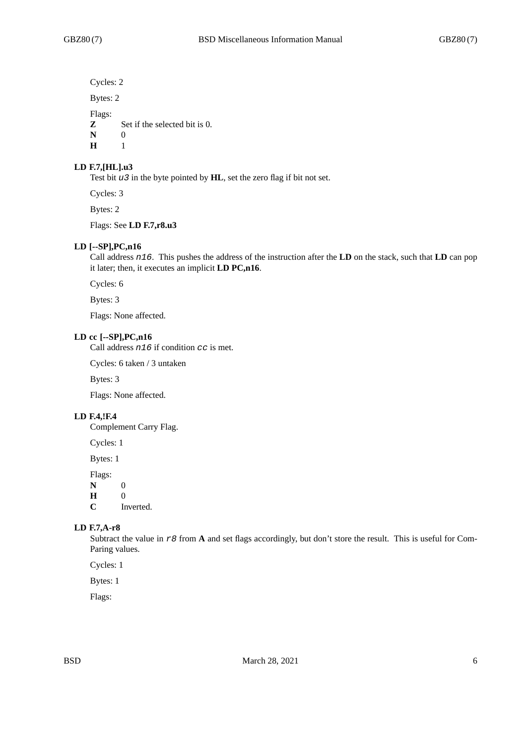Cycles: 2

Bytes: 2

Flags:

**Z** Set if the selected bit is 0.

**N** 0

**H** 1

## **LD F.7,[HL].u3**

Test bit *u3* in the byte pointed by **HL**, set the zero flag if bit not set.

Cycles: 3

Bytes: 2

Flags: See **LD F.7,r8.u3**

# **LD [--SP],PC,n16**

Call address *n16*. This pushes the address of the instruction after the **LD** on the stack, such that **LD** can pop it later; then, it executes an implicit **LD PC,n16**.

Cycles: 6

Bytes: 3

Flags: None affected.

#### **LD cc [--SP],PC,n16**

Call address *n16* if condition *cc* is met.

Cycles: 6 taken / 3 untaken

Bytes: 3

Flags: None affected.

## **LD F.4,!F.4**

Complement Carry Flag.

Cycles: 1

Bytes: 1

Flags:

**N** 0

**H** 0

**C** Inverted.

# **LD F.7,A-r8**

Subtract the value in *r8* from **A** and set flags accordingly, but don't store the result. This is useful for Com-Paring values.

Cycles: 1

Bytes: 1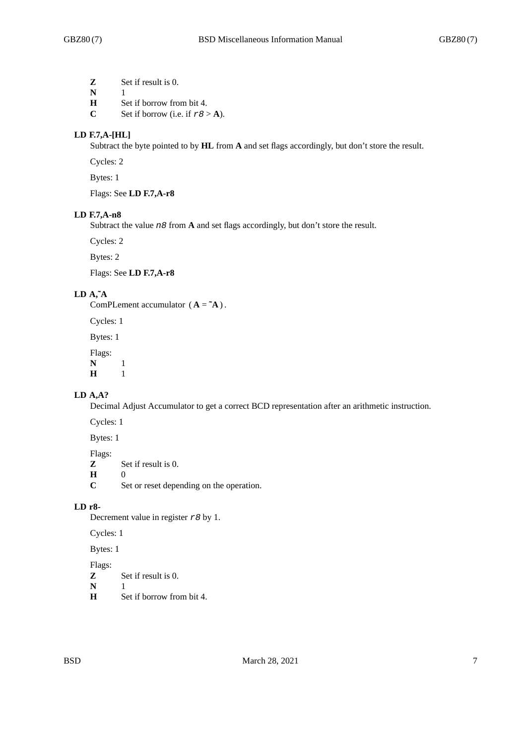**Z** Set if result is 0.

**N** 1

- **H** Set if borrow from bit 4.
- **C** Set if borrow (i.e. if  $r \theta > A$ ).

# **LD F.7,A-[HL]**

Subtract the byte pointed to by **HL** from **A** and set flags accordingly, but don't store the result.

Cycles: 2

Bytes: 1

Flags: See **LD F.7,A-r8**

## **LD F.7,A-n8**

Subtract the value *n8* from **A** and set flags accordingly, but don't store the result.

Cycles: 2

Bytes: 2

Flags: See **LD F.7,A-r8**

# **LD A,˜A**

ComPLement accumulator  $(A = \tilde{A})$ .

Cycles: 1

Bytes: 1

Flags: **N** 1<br>**H** 1

**H** 1

# **LD A,A?**

Decimal Adjust Accumulator to get a correct BCD representation after an arithmetic instruction.

Cycles: 1

Bytes: 1

Flags:

**Z** Set if result is 0.

- **H** 0<br>**C** S
- Set or reset depending on the operation.

## **LD r8-**

Decrement value in register *r8* by 1.

Cycles: 1

Bytes: 1

- **Z** Set if result is 0.
- **N** 1<br>**H** S
- Set if borrow from bit 4.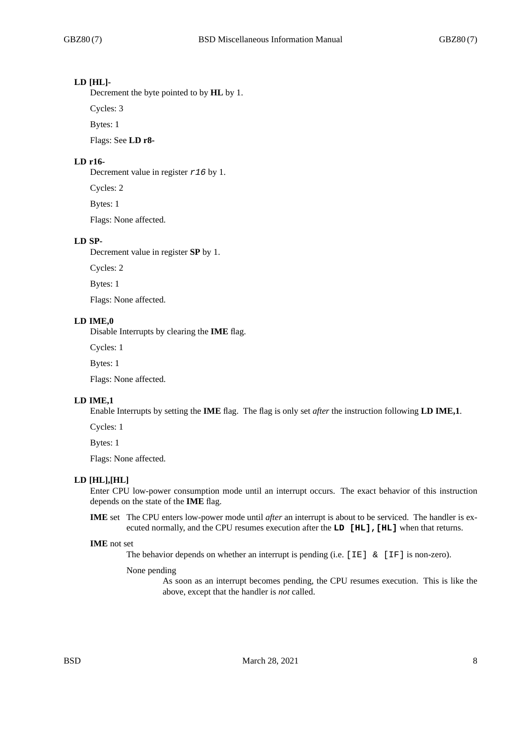# **LD [HL]-**

Decrement the byte pointed to by **HL** by 1.

Cycles: 3

Bytes: 1

Flags: See **LD r8-**

## **LD r16-**

Decrement value in register *r16* by 1.

Cycles: 2

Bytes: 1

Flags: None affected.

#### **LD SP-**

Decrement value in register **SP** by 1.

Cycles: 2

Bytes: 1

Flags: None affected.

# **LD IME,0**

Disable Interrupts by clearing the **IME** flag.

Cycles: 1

Bytes: 1

Flags: None affected.

## **LD IME,1**

Enable Interrupts by setting the **IME** flag. The flag is only set *after* the instruction following **LD IME,1**.

Cycles: 1

Bytes: 1

Flags: None affected.

## **LD [HL],[HL]**

Enter CPU low-power consumption mode until an interrupt occurs. The exact behavior of this instruction depends on the state of the **IME** flag.

**IME** set The CPU enters low-power mode until *after* an interrupt is about to be serviced. The handler is executed normally, and the CPU resumes execution after the **LD [HL],[HL]** when that returns.

#### **IME** not set

The behavior depends on whether an interrupt is pending (i.e.  $[IE]$  &  $[IF]$  is non-zero).

None pending

As soon as an interrupt becomes pending, the CPU resumes execution. This is like the above, except that the handler is *not* called.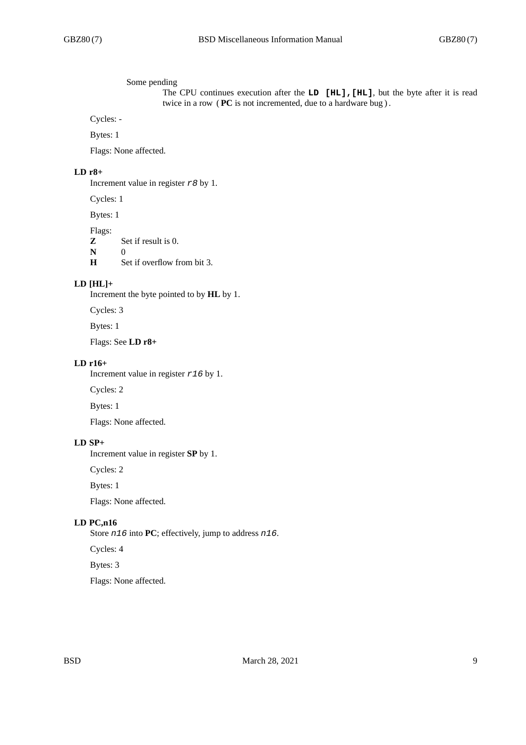#### Some pending

The CPU continues execution after the **LD [HL],[HL]**, but the byte after it is read twice in a row ( **PC** is not incremented, due to a hardware bug ) .

Cycles: -

Bytes: 1

Flags: None affected.

# **LD r8+**

Increment value in register *r8* by 1.

Cycles: 1

Bytes: 1

Flags:

**Z** Set if result is 0.

**N** 0<br>**H** S Set if overflow from bit 3.

## **LD [HL]+**

Increment the byte pointed to by **HL** by 1.

Cycles: 3

Bytes: 1

Flags: See **LD r8+**

## **LD r16+**

Increment value in register *r16* by 1.

Cycles: 2

Bytes: 1

Flags: None affected.

# **LD SP+**

Increment value in register **SP** by 1.

Cycles: 2

Bytes: 1

Flags: None affected.

# **LD PC,n16**

Store *n16* into **PC**; effectively, jump to address *n16*.

Cycles: 4

Bytes: 3

Flags: None affected.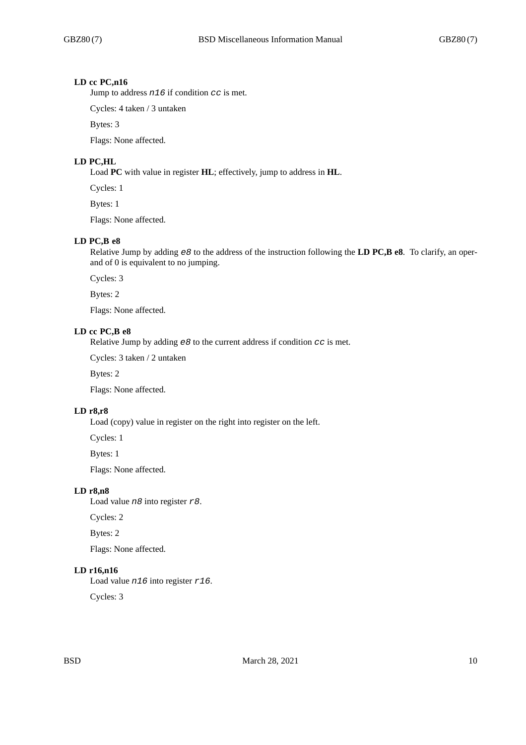# **LD cc PC,n16**

Jump to address *n16* if condition *cc* is met.

Cycles: 4 taken / 3 untaken

Bytes: 3

Flags: None affected.

# **LD PC,HL**

Load **PC** with value in register **HL**; effectively, jump to address in **HL**.

Cycles: 1

Bytes: 1

Flags: None affected.

#### **LD PC,B e8**

Relative Jump by adding *e8* to the address of the instruction following the **LD PC,B e8**. To clarify, an operand of 0 is equivalent to no jumping.

Cycles: 3

Bytes: 2

Flags: None affected.

#### **LD cc PC,B e8**

Relative Jump by adding *e8* to the current address if condition *cc* is met.

Cycles: 3 taken / 2 untaken

Bytes: 2

Flags: None affected.

# **LD r8,r8**

Load (copy) value in register on the right into register on the left.

Cycles: 1

Bytes: 1

Flags: None affected.

# **LD r8,n8**

Load value *n8* into register *r8*.

Cycles: 2

Bytes: 2

Flags: None affected.

# **LD r16,n16**

Load value *n16* into register *r16*.

Cycles: 3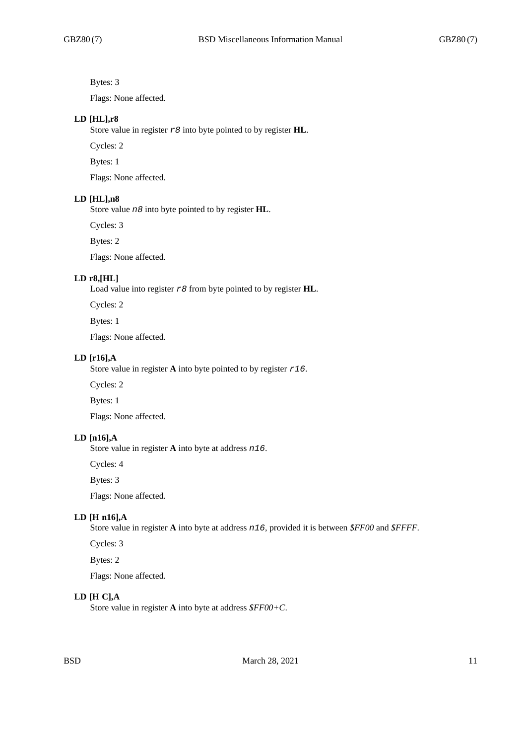Bytes: 3

Flags: None affected.

#### **LD [HL],r8**

Store value in register *r8* into byte pointed to by register **HL**.

Cycles: 2

Bytes: 1

Flags: None affected.

### **LD [HL],n8**

Store value *n8* into byte pointed to by register **HL**.

Cycles: 3

Bytes: 2

Flags: None affected.

# **LD r8,[HL]**

Load value into register *r8* from byte pointed to by register **HL**.

Cycles: 2

Bytes: 1

Flags: None affected.

## **LD [r16],A**

Store value in register **A** into byte pointed to by register *r16*.

Cycles: 2

Bytes: 1

Flags: None affected.

#### **LD [n16],A**

Store value in register **A** into byte at address *n16*.

Cycles: 4

Bytes: 3

Flags: None affected.

# **LD [H n16],A**

Store value in register **A** into byte at address *n16*, provided it is between *\$FF00* and *\$FFFF*.

Cycles: 3

Bytes: 2

Flags: None affected.

## **LD [H C],A**

Store value in register **A** into byte at address *\$FF00+C*.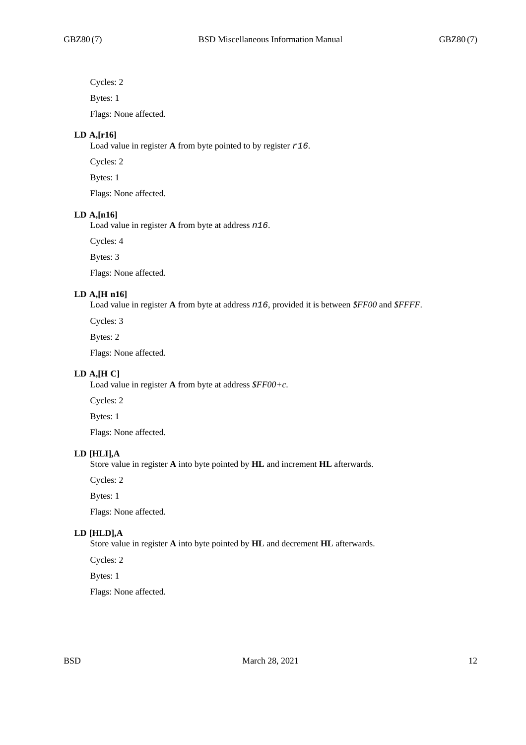Cycles: 2

Bytes: 1

Flags: None affected.

## **LD A,[r16]**

Load value in register **A** from byte pointed to by register *r16*.

Cycles: 2

Bytes: 1

Flags: None affected.

## **LD A,[n16]**

Load value in register **A** from byte at address *n16*.

Cycles: 4

Bytes: 3

Flags: None affected.

# **LD A,[H n16]**

Load value in register **A** from byte at address *n16*, provided it is between *\$FF00* and *\$FFFF*.

Cycles: 3

Bytes: 2

Flags: None affected.

# **LD A,[H C]**

Load value in register **A** from byte at address *\$FF00+c*.

Cycles: 2

Bytes: 1

Flags: None affected.

# **LD [HLI],A**

Store value in register **A** into byte pointed by **HL** and increment **HL** afterwards.

Cycles: 2

Bytes: 1

Flags: None affected.

# **LD [HLD],A**

Store value in register **A** into byte pointed by **HL** and decrement **HL** afterwards.

Cycles: 2

Bytes: 1

Flags: None affected.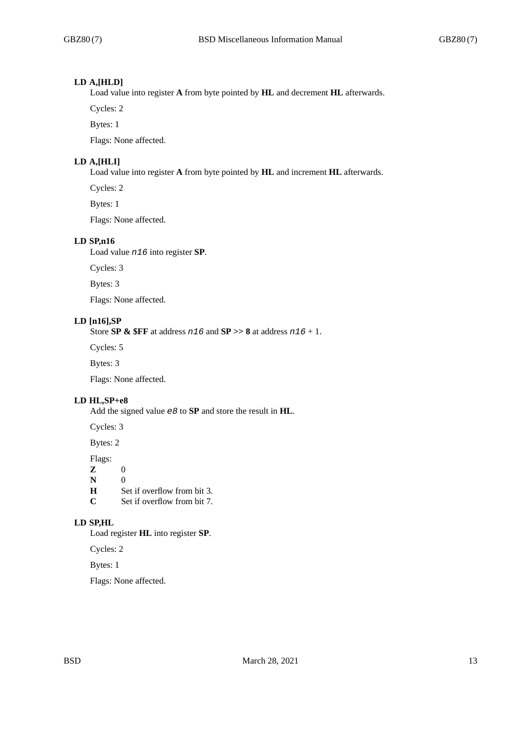# **LD A,[HLD]**

Load value into register **A** from byte pointed by **HL** and decrement **HL** afterwards.

Cycles: 2

Bytes: 1

Flags: None affected.

# **LD A,[HLI]**

Load value into register **A** from byte pointed by **HL** and increment **HL** afterwards.

Cycles: 2

Bytes: 1

Flags: None affected.

#### **LD SP,n16**

Load value *n16* into register **SP**.

Cycles: 3

Bytes: 3

Flags: None affected.

# **LD [n16],SP**

Store **SP & \$FF** at address *n16* and **SP >> 8** at address *n16* + 1.

Cycles: 5

Bytes: 3

Flags: None affected.

## **LD HL,SP+e8**

Add the signed value *e8* to **SP** and store the result in **HL**.

Cycles: 3

Bytes: 2

Flags:

 $\begin{bmatrix} \mathbf{Z} & 0 \\ \mathbf{N} & 0 \end{bmatrix}$ 

**N H** 

Set if overflow from bit 3.

**C** Set if overflow from bit 7.

# **LD SP,HL**

Load register **HL** into register **SP**.

Cycles: 2

Bytes: 1

Flags: None affected.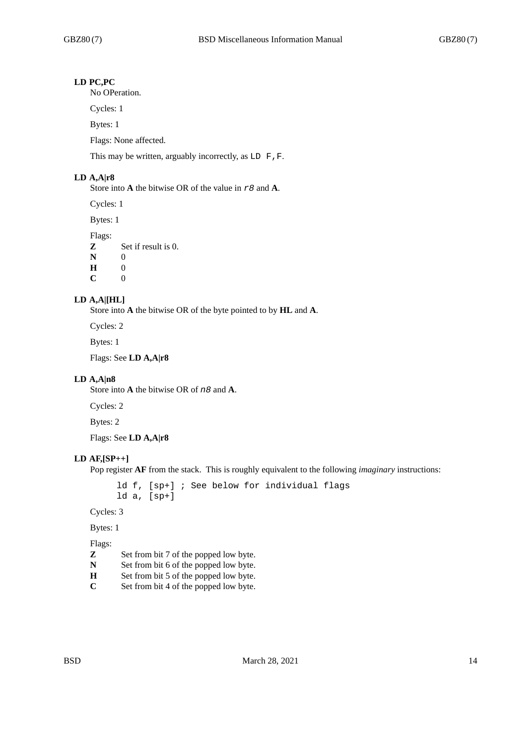# **LD PC,PC**

No OPeration.

Cycles: 1

Bytes: 1

Flags: None affected.

This may be written, arguably incorrectly, as LD F, F.

#### **LD A,A|r8**

Store into **A** the bitwise OR of the value in *r8* and **A**.

Cycles: 1

Bytes: 1

Flags:

**Z** Set if result is 0.

**N** 0

**H** 0

 $C = 0$ 

#### **LD A,A|[HL]**

Store into **A** the bitwise OR of the byte pointed to by **HL** and **A**.

Cycles: 2

Bytes: 1

Flags: See **LD A,A|r8**

#### **LD A,A|n8**

Store into **A** the bitwise OR of *n8* and **A**.

Cycles: 2

Bytes: 2

Flags: See **LD A,A|r8**

#### **LD AF,[SP++]**

Pop register **AF** from the stack. This is roughly equivalent to the following *imaginary* instructions:

ld f, [sp+] ; See below for individual flags ld a, [sp+]

Cycles: 3

Bytes: 1

- **Z** Set from bit 7 of the popped low byte.
- **N** Set from bit 6 of the popped low byte.<br>**H** Set from bit 5 of the popped low byte.
- Set from bit 5 of the popped low byte.
- **C** Set from bit 4 of the popped low byte.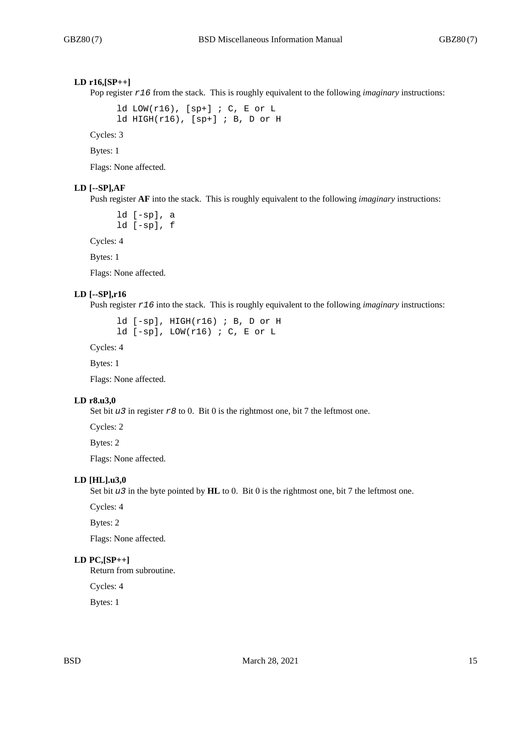## **LD r16,[SP++]**

Pop register  $r16$  from the stack. This is roughly equivalent to the following *imaginary* instructions:

ld LOW(r16),  $[sp+]$  ; C, E or L ld HIGH(r16), [sp+] ; B, D or H

Cycles: 3

Bytes: 1

Flags: None affected.

## **LD [--SP],AF**

Push register **AF** into the stack. This is roughly equivalent to the following *imaginary* instructions:

ld [-sp], a ld [-sp], f

Cycles: 4

Bytes: 1

Flags: None affected.

#### **LD [--SP],r16**

Push register *r16* into the stack. This is roughly equivalent to the following *imaginary* instructions:

ld [-sp], HIGH(r16) ; B, D or H ld [-sp], LOW(r16) ; C, E or L

Cycles: 4

Bytes: 1

Flags: None affected.

#### **LD r8.u3,0**

Set bit *u3* in register *r8* to 0. Bit 0 is the rightmost one, bit 7 the leftmost one.

Cycles: 2

Bytes: 2

Flags: None affected.

# **LD [HL].u3,0**

Set bit *u3* in the byte pointed by **HL** to 0. Bit 0 is the rightmost one, bit 7 the leftmost one.

Cycles: 4

Bytes: 2

Flags: None affected.

## **LD PC,[SP++]**

Return from subroutine.

Cycles: 4

Bytes: 1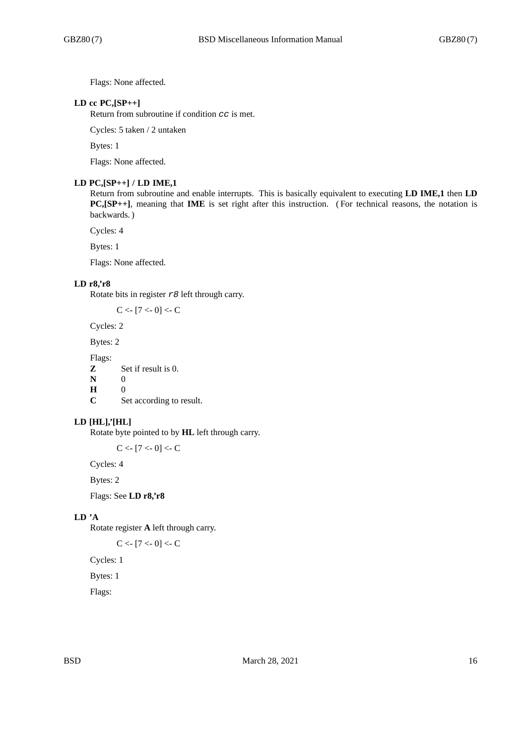Flags: None affected.

# **LD cc PC,[SP++]**

Return from subroutine if condition *cc* is met.

Cycles: 5 taken / 2 untaken

Bytes: 1

Flags: None affected.

#### **LD PC,[SP++] / LD IME,1**

Return from subroutine and enable interrupts. This is basically equivalent to executing **LD IME,1** then **LD PC,[SP++]**, meaning that **IME** is set right after this instruction. ( For technical reasons, the notation is backwards. )

Cycles: 4

Bytes: 1

Flags: None affected.

#### **LD r8,'r8**

Rotate bits in register *r8* left through carry.

 $C < [7 < 0] < C$ 

Cycles: 2

Bytes: 2

Flags:

**Z** Set if result is 0.

**N** 0

**H** 0

**C** Set according to result.

## **LD [HL],'[HL]**

Rotate byte pointed to by **HL** left through carry.

 $C < [7 < 0] < C$ 

Cycles: 4

Bytes: 2

Flags: See **LD r8,'r8**

# **LD 'A**

Rotate register **A** left through carry.

```
C < [7 < 0] < C
```
Cycles: 1

Bytes: 1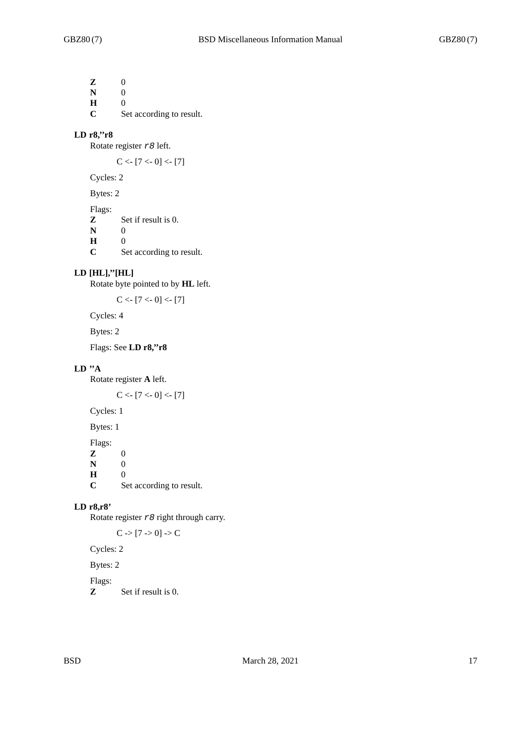**Z** 0 **N** 0 **H** 0 **C** Set according to result.

#### **LD r8,''r8**

Rotate register *r8* left.

 $C < [7 < 0] < [7]$ 

Cycles: 2

Bytes: 2

Flags:

**Z** Set if result is 0. **N** 0 **H** 0<br>**C** S<sub>0</sub>

Set according to result.

## **LD [HL],''[HL]**

Rotate byte pointed to by **HL** left.

 $C < [7 < 0] < [7]$ 

Cycles: 4

Bytes: 2

Flags: See **LD r8,''r8**

## **LD ''A**

Rotate register **A** left.

 $C < [7 < 0] < [7]$ 

Cycles: 1

Bytes: 1

Flags: **z** 0<br>**N** 0  $\mathbf N$ **H** 0<br>**C** S<sub>0</sub> Set according to result.

## **LD r8,r8'**

Rotate register *r8* right through carry.

 $C \rightarrow [7 \rightarrow 0] \rightarrow C$ 

Cycles: 2

Bytes: 2

Flags:

**Z** Set if result is 0.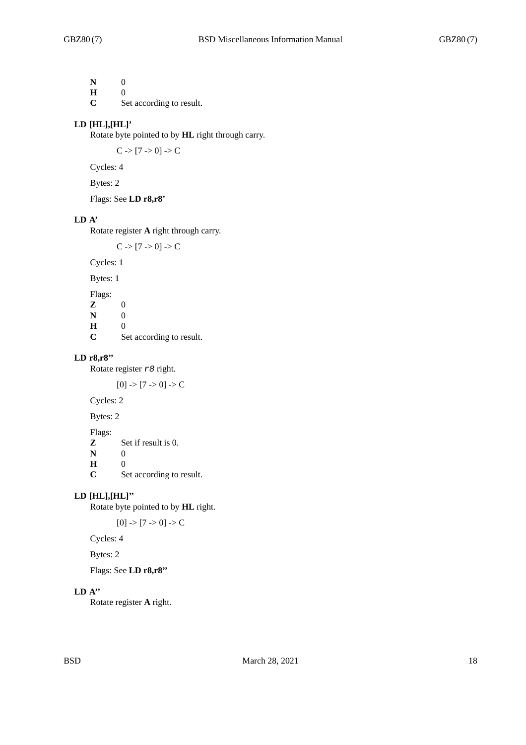**N** 0

**H** 0

**C** Set according to result.

# **LD [HL],[HL]'**

Rotate byte pointed to by **HL** right through carry.

 $C > [7 > 0] > C$ 

Cycles: 4

Bytes: 2

Flags: See **LD r8,r8'**

# **LD A'**

Rotate register **A** right through carry.

 $C \rightarrow [7 \rightarrow 0] \rightarrow C$ 

Cycles: 1

Bytes: 1

Flags: **Z** 0 **N** 0<br>**H** 0 **H**  $\overline{C}$ Set according to result.

## **LD r8,r8''**

Rotate register *r8* right.

 $[0]$  ->  $[7$  -> 0] -> C

Cycles: 2

Bytes: 2

Flags:<br>Z

**Z** Set if result is 0.

**N** 0 **H** 0

**C** Set according to result.

## **LD [HL],[HL]''**

Rotate byte pointed to by **HL** right.

 $[0]$  ->  $[7$  -> 0] -> C

Cycles: 4

Bytes: 2

Flags: See **LD r8,r8''**

# **LD A''**

Rotate register **A** right.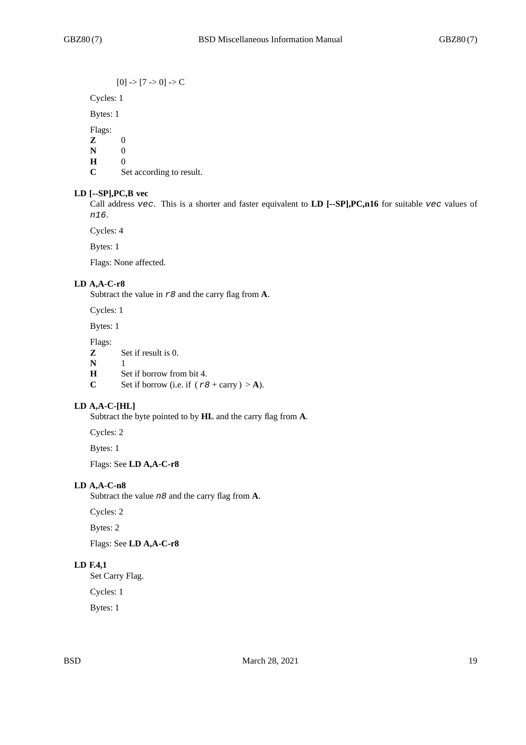$[0]$  ->  $[7$  -> 0] -> C

Cycles: 1

Bytes: 1

Flags:

**Z** 0

**N** 0

**H** 0

**C** Set according to result.

# **LD [--SP],PC,B vec**

Call address *vec*. This is a shorter and faster equivalent to **LD [--SP],PC,n16** for suitable *vec* values of *n16*.

Cycles: 4

Bytes: 1

Flags: None affected.

# **LD A,A-C-r8**

Subtract the value in *r8* and the carry flag from **A**.

Cycles: 1

Bytes: 1

Flags:

**Z** Set if result is 0.

**N** 1<br>**H** S

Set if borrow from bit 4.

**C** Set if borrow (i.e. if  $(r8 + \text{carry}) > A$ ).

# **LD A,A-C-[HL]**

Subtract the byte pointed to by **HL** and the carry flag from **A**.

Cycles: 2

Bytes: 1

Flags: See **LD A,A-C-r8**

## **LD A,A-C-n8**

Subtract the value *n8* and the carry flag from **A**.

Cycles: 2

Bytes: 2

Flags: See **LD A,A-C-r8**

## **LD F.4,1**

Set Carry Flag.

Cycles: 1

Bytes: 1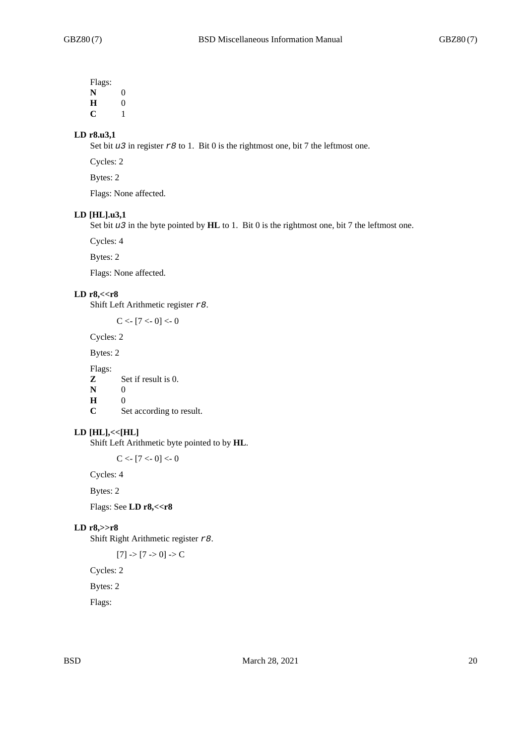Flags: **N** 0 **H** 0

**C** 1

# **LD r8.u3,1**

Set bit *u3* in register *r8* to 1. Bit 0 is the rightmost one, bit 7 the leftmost one.

Cycles: 2

Bytes: 2

Flags: None affected.

#### **LD [HL].u3,1**

Set bit *u3* in the byte pointed by **HL** to 1. Bit 0 is the rightmost one, bit 7 the leftmost one.

Cycles: 4

Bytes: 2

Flags: None affected.

## **LD r8,<<r8**

Shift Left Arithmetic register *r8*.

 $C < [7 < 0] < 0$ 

Cycles: 2

Bytes: 2

Flags:

**Z** Set if result is 0.

**N** 0

**H** 0 Set according to result.

#### **LD [HL],<<[HL]**

Shift Left Arithmetic byte pointed to by **HL**.

 $C < -17 < 0 < 0$ 

Cycles: 4

Bytes: 2

Flags: See **LD r8,<<r8**

# **LD r8,>>r8**

Shift Right Arithmetic register *r8*.

 $[7]$  ->  $[7$  -> 0] -> C

Cycles: 2

Bytes: 2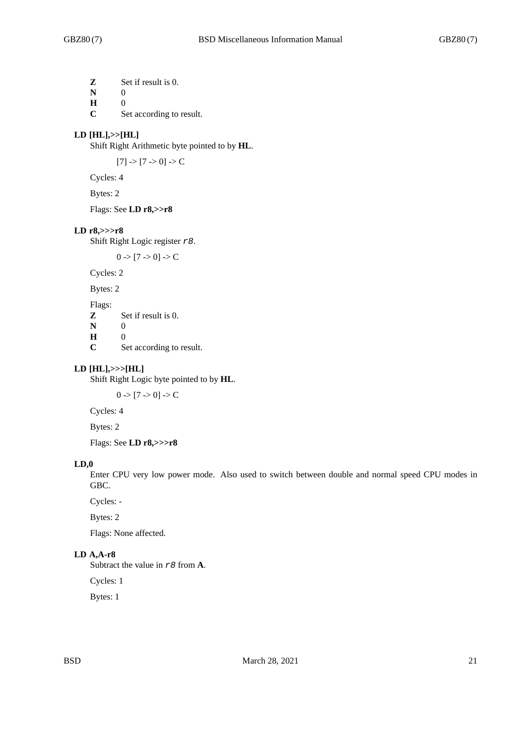**Z** Set if result is 0.

**N** 0

**H** 0

**C** Set according to result.

## **LD [HL],>>[HL]**

Shift Right Arithmetic byte pointed to by **HL**.

 $[7]$  ->  $[7$  -> 0] -> C

Cycles: 4

Bytes: 2

Flags: See **LD r8,>>r8**

## **LD r8,>>>r8**

Shift Right Logic register *r8*.

 $0 \rightarrow [7 \rightarrow 0] \rightarrow C$ 

Cycles: 2

Bytes: 2

Flags: **Z** Set if result is 0. **N** 0 **H** 0

**C** Set according to result.

#### **LD [HL],>>>[HL]**

Shift Right Logic byte pointed to by **HL**.

 $0 \rightarrow [7 \rightarrow 0] \rightarrow C$ 

Cycles: 4

Bytes: 2

Flags: See **LD r8,>>>r8**

#### **LD,0**

Enter CPU very low power mode. Also used to switch between double and normal speed CPU modes in GBC.

Cycles: -

Bytes: 2

Flags: None affected.

# **LD A,A-r8**

Subtract the value in *r8* from **A**.

Cycles: 1

Bytes: 1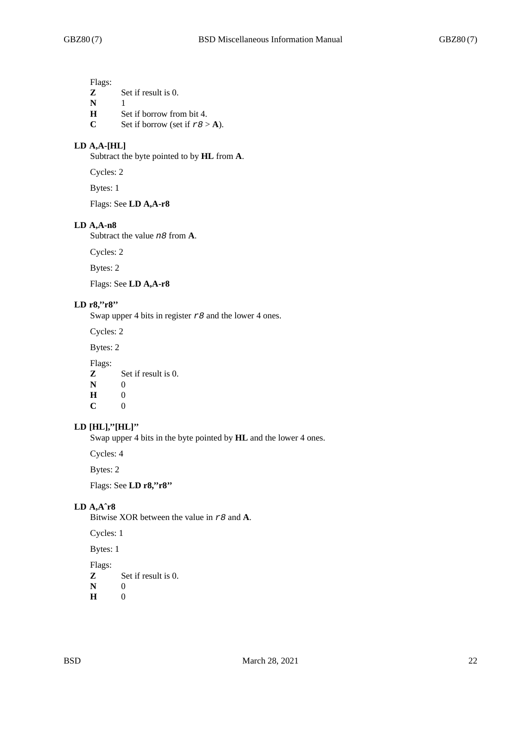Flags:

- **Z** Set if result is 0.
- **N** 1
- **H** Set if borrow from bit 4.
- **C** Set if borrow (set if  $r \theta > A$ ).

# **LD A,A-[HL]**

Subtract the byte pointed to by **HL** from **A**.

Cycles: 2

Bytes: 1

Flags: See **LD A,A-r8**

#### **LD A,A-n8**

Subtract the value *n8* from **A**.

Cycles: 2

Bytes: 2

Flags: See **LD A,A-r8**

# **LD r8,''r8''**

Swap upper 4 bits in register *r8* and the lower 4 ones.

Cycles: 2

Bytes: 2

Flags:<br>Z

- **Z** Set if result is 0.
- **N** 0
- **H** 0  $\mathbf{C}$

### **LD [HL],''[HL]''**

Swap upper 4 bits in the byte pointed by **HL** and the lower 4 ones.

Cycles: 4

Bytes: 2

Flags: See **LD r8,''r8''**

## **LD A,Aˆr8**

Bitwise XOR between the value in *r8* and **A**.

Cycles: 1

Bytes: 1

- **Z** Set if result is 0.
- **N** 0<br>**H** 0 **H** 0